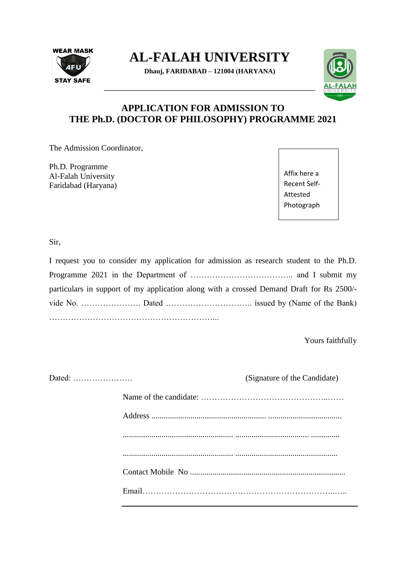

**AL-FALAH UNIVERSITY**

**Dhauj, FARIDABAD – 121004 (HARYANA)**

**\_\_\_\_\_\_\_\_\_\_\_\_\_\_\_\_\_\_\_\_\_\_\_\_\_\_\_\_\_\_\_\_\_\_\_\_\_\_\_\_\_\_\_\_\_\_\_\_\_\_\_\_\_\_\_\_\_\_\_\_\_\_**



# **APPLICATION FOR ADMISSION TO THE Ph.D. (DOCTOR OF PHILOSOPHY) PROGRAMME 2021**

The Admission Coordinator,

Ph.D. Programme Al-Falah University Faridabad (Haryana) Affix here a Recent Self-Attested Photograph

Sir,

| I request you to consider my application for admission as research student to the Ph.D.  |
|------------------------------------------------------------------------------------------|
|                                                                                          |
| particulars in support of my application along with a crossed Demand Draft for Rs 2500/- |
|                                                                                          |
|                                                                                          |

Yours faithfully

|  | (Signature of the Candidate) |
|--|------------------------------|
|  |                              |
|  |                              |
|  |                              |
|  |                              |
|  |                              |
|  |                              |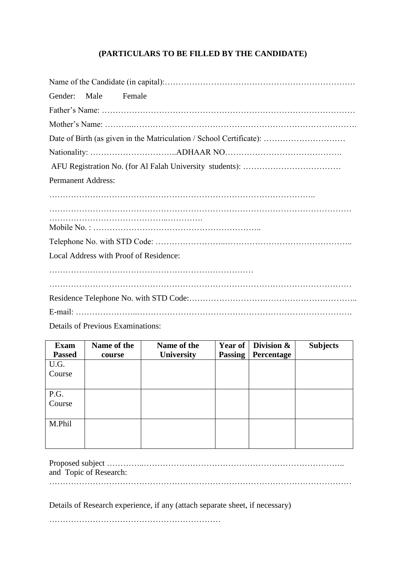### **(PARTICULARS TO BE FILLED BY THE CANDIDATE)**

| Gender:<br>Male Female                 |
|----------------------------------------|
|                                        |
|                                        |
|                                        |
|                                        |
|                                        |
| <b>Permanent Address:</b>              |
|                                        |
|                                        |
|                                        |
|                                        |
| Local Address with Proof of Residence: |
|                                        |
|                                        |
|                                        |
|                                        |
| Details of Previous Examinations:      |

| <b>Exam</b>   | Name of the | Name of the       | Year of        | Division $\&$ | <b>Subjects</b> |
|---------------|-------------|-------------------|----------------|---------------|-----------------|
| <b>Passed</b> | course      | <b>University</b> | <b>Passing</b> | Percentage    |                 |
| U.G.          |             |                   |                |               |                 |
| Course        |             |                   |                |               |                 |
|               |             |                   |                |               |                 |
| P.G.          |             |                   |                |               |                 |
| Course        |             |                   |                |               |                 |
|               |             |                   |                |               |                 |
| M.Phil        |             |                   |                |               |                 |
|               |             |                   |                |               |                 |
|               |             |                   |                |               |                 |

| and Topic of Research: |
|------------------------|
|                        |

Details of Research experience, if any (attach separate sheet, if necessary)

………………………………………………………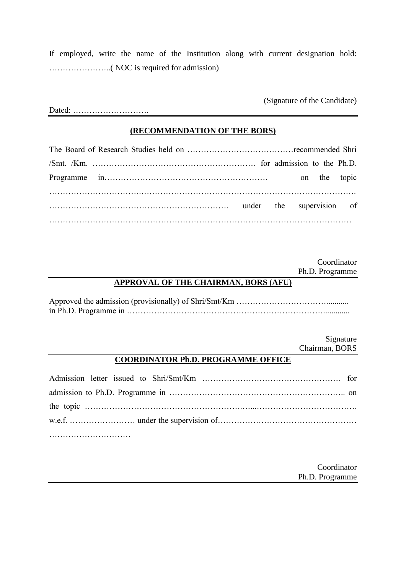If employed, write the name of the Institution along with current designation hold: …………………..( NOC is required for admission)

(Signature of the Candidate)

Dated: ……………………….

#### **(RECOMMENDATION OF THE BORS)**

The Board of Research Studies held on …………………………………recommended Shri /Smt. /Km. …………………………………………………… for admission to the Ph.D. Programme in…………………………………………………… on the topic …………………………….……………………………………………………………………. ………………………………………………………… under the supervision of …………………………………………………………………………………………………

> Coordinator Ph.D. Programme

#### **APPROVAL OF THE CHAIRMAN, BORS (AFU)**

Approved the admission (provisionally) of Shri/Smt/Km ……………………………........... in Ph.D. Programme in ……………………………………………………………….............

> Signature Chairman, BORS

#### **COORDINATOR Ph.D. PROGRAMME OFFICE**

Admission letter issued to Shri/Smt/Km …………………………………………… for admission to Ph.D. Programme in ……………………………………………………….. on the topic ………………………………………………….…...………………………………. w.e.f. …………………… under the supervision of…………………………………………… …………………………

> Coordinator Ph.D. Programme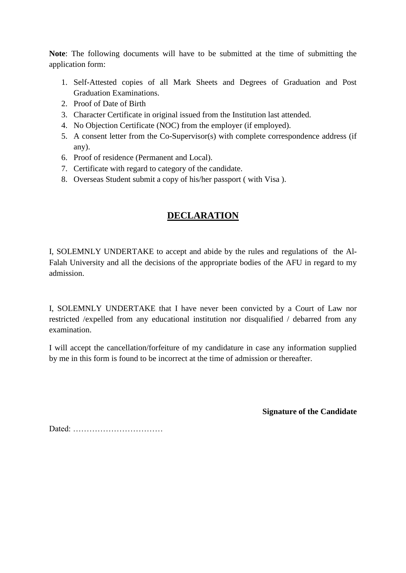**Note**: The following documents will have to be submitted at the time of submitting the application form:

- 1. Self-Attested copies of all Mark Sheets and Degrees of Graduation and Post Graduation Examinations.
- 2. Proof of Date of Birth
- 3. Character Certificate in original issued from the Institution last attended.
- 4. No Objection Certificate (NOC) from the employer (if employed).
- 5. A consent letter from the Co-Supervisor(s) with complete correspondence address (if any).
- 6. Proof of residence (Permanent and Local).
- 7. Certificate with regard to category of the candidate.
- 8. Overseas Student submit a copy of his/her passport ( with Visa ).

# **DECLARATION**

I, SOLEMNLY UNDERTAKE to accept and abide by the rules and regulations of the Al-Falah University and all the decisions of the appropriate bodies of the AFU in regard to my admission.

I, SOLEMNLY UNDERTAKE that I have never been convicted by a Court of Law nor restricted /expelled from any educational institution nor disqualified / debarred from any examination.

I will accept the cancellation/forfeiture of my candidature in case any information supplied by me in this form is found to be incorrect at the time of admission or thereafter.

**Signature of the Candidate**

Dated: ……………………………